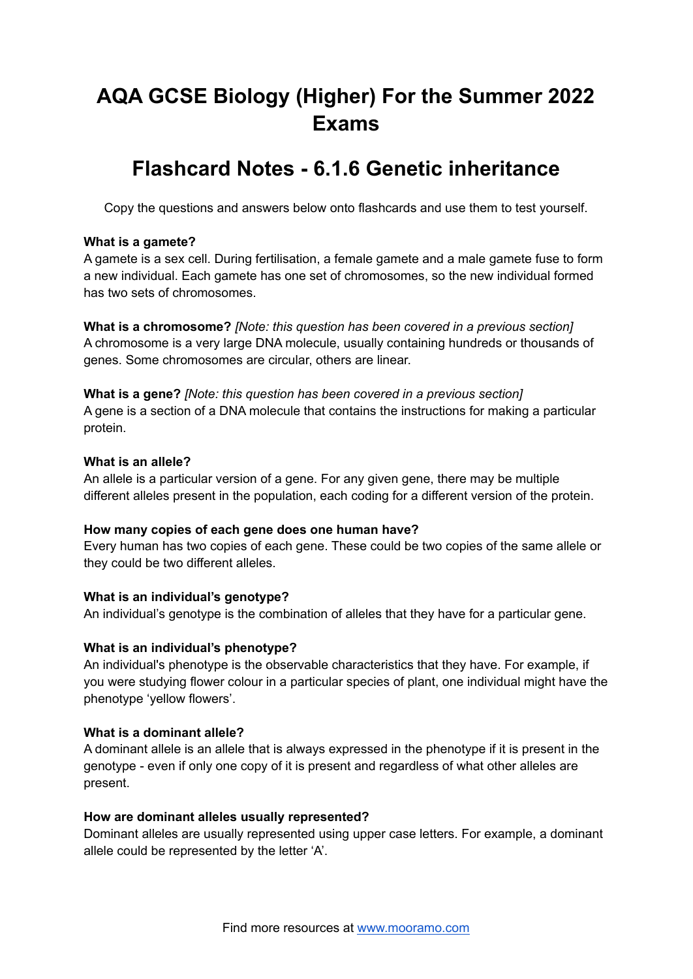# **AQA GCSE Biology (Higher) For the Summer 2022 Exams**

# **Flashcard Notes - 6.1.6 Genetic inheritance**

Copy the questions and answers below onto flashcards and use them to test yourself.

#### **What is a gamete?**

A gamete is a sex cell. During fertilisation, a female gamete and a male gamete fuse to form a new individual. Each gamete has one set of chromosomes, so the new individual formed has two sets of chromosomes.

**What is a chromosome?** *[Note: this question has been covered in a previous section]* A chromosome is a very large DNA molecule, usually containing hundreds or thousands of genes. Some chromosomes are circular, others are linear.

**What is a gene?** *[Note: this question has been covered in a previous section]* A gene is a section of a DNA molecule that contains the instructions for making a particular protein.

# **What is an allele?**

An allele is a particular version of a gene. For any given gene, there may be multiple different alleles present in the population, each coding for a different version of the protein.

#### **How many copies of each gene does one human have?**

Every human has two copies of each gene. These could be two copies of the same allele or they could be two different alleles.

# **What is an individual's genotype?**

An individual's genotype is the combination of alleles that they have for a particular gene.

# **What is an individual's phenotype?**

An individual's phenotype is the observable characteristics that they have. For example, if you were studying flower colour in a particular species of plant, one individual might have the phenotype 'yellow flowers'.

#### **What is a dominant allele?**

A dominant allele is an allele that is always expressed in the phenotype if it is present in the genotype - even if only one copy of it is present and regardless of what other alleles are present.

#### **How are dominant alleles usually represented?**

Dominant alleles are usually represented using upper case letters. For example, a dominant allele could be represented by the letter 'A'.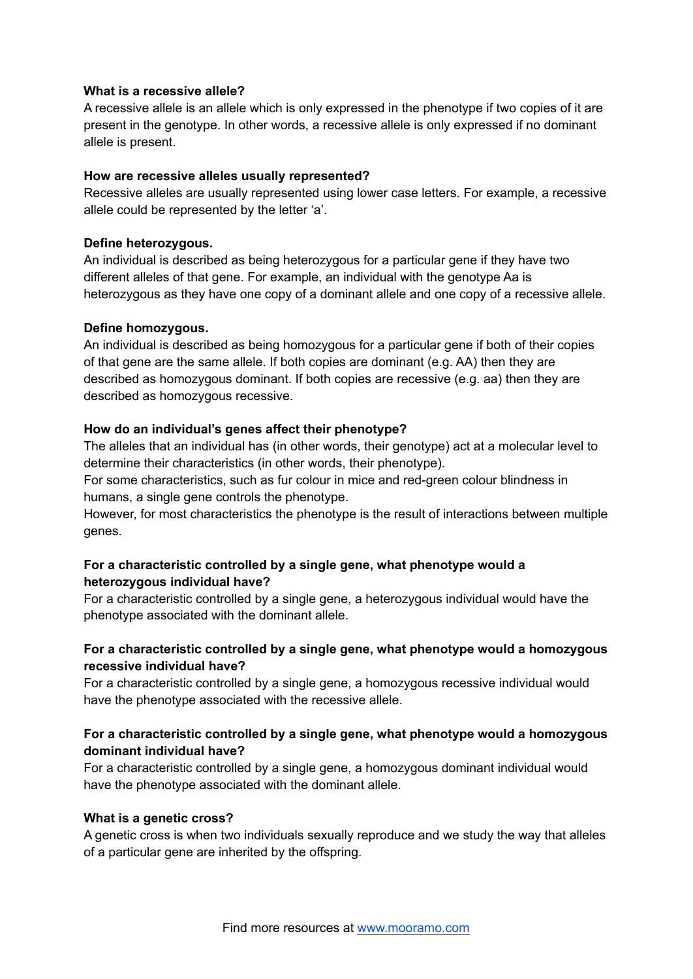#### **What is a recessive allele?**

A recessive allele is an allele which is only expressed in the phenotype if two copies of it are present in the genotype. In other words, a recessive allele is only expressed if no dominant allele is present.

#### **How are recessive alleles usually represented?**

Recessive alleles are usually represented using lower case letters. For example, a recessive allele could be represented by the letter 'a'.

#### **Define heterozygous.**

An individual is described as being heterozygous for a particular gene if they have two different alleles of that gene. For example, an individual with the genotype Aa is heterozygous as they have one copy of a dominant allele and one copy of a recessive allele.

#### **Define homozygous.**

An individual is described as being homozygous for a particular gene if both of their copies of that gene are the same allele. If both copies are dominant (e.g. AA) then they are described as homozygous dominant. If both copies are recessive (e.g. aa) then they are described as homozygous recessive.

#### **How do an individual's genes affect their phenotype?**

The alleles that an individual has (in other words, their genotype) act at a molecular level to determine their characteristics (in other words, their phenotype).

For some characteristics, such as fur colour in mice and red-green colour blindness in humans, a single gene controls the phenotype.

However, for most characteristics the phenotype is the result of interactions between multiple genes.

# **For a characteristic controlled by a single gene, what phenotype would a heterozygous individual have?**

For a characteristic controlled by a single gene, a heterozygous individual would have the phenotype associated with the dominant allele.

# **For a characteristic controlled by a single gene, what phenotype would a homozygous recessive individual have?**

For a characteristic controlled by a single gene, a homozygous recessive individual would have the phenotype associated with the recessive allele.

### **For a characteristic controlled by a single gene, what phenotype would a homozygous dominant individual have?**

For a characteristic controlled by a single gene, a homozygous dominant individual would have the phenotype associated with the dominant allele.

#### **What is a genetic cross?**

A genetic cross is when two individuals sexually reproduce and we study the way that alleles of a particular gene are inherited by the offspring.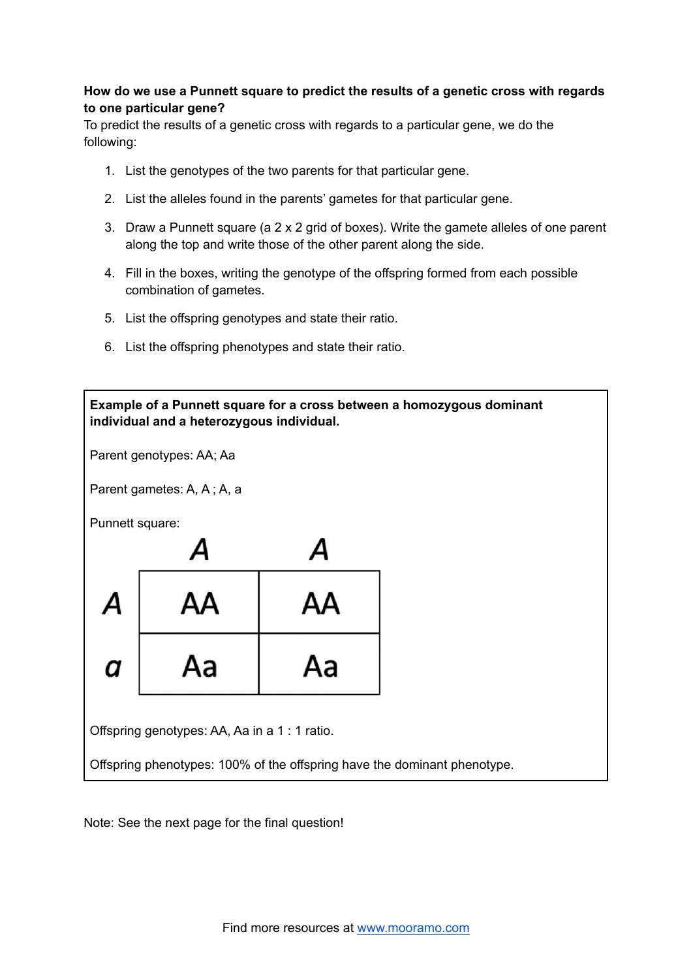# **How do we use a Punnett square to predict the results of a genetic cross with regards to one particular gene?**

To predict the results of a genetic cross with regards to a particular gene, we do the following:

- 1. List the genotypes of the two parents for that particular gene.
- 2. List the alleles found in the parents' gametes for that particular gene.
- 3. Draw a Punnett square (a 2 x 2 grid of boxes). Write the gamete alleles of one parent along the top and write those of the other parent along the side.
- 4. Fill in the boxes, writing the genotype of the offspring formed from each possible combination of gametes.
- 5. List the offspring genotypes and state their ratio.
- 6. List the offspring phenotypes and state their ratio.



Note: See the next page for the final question!